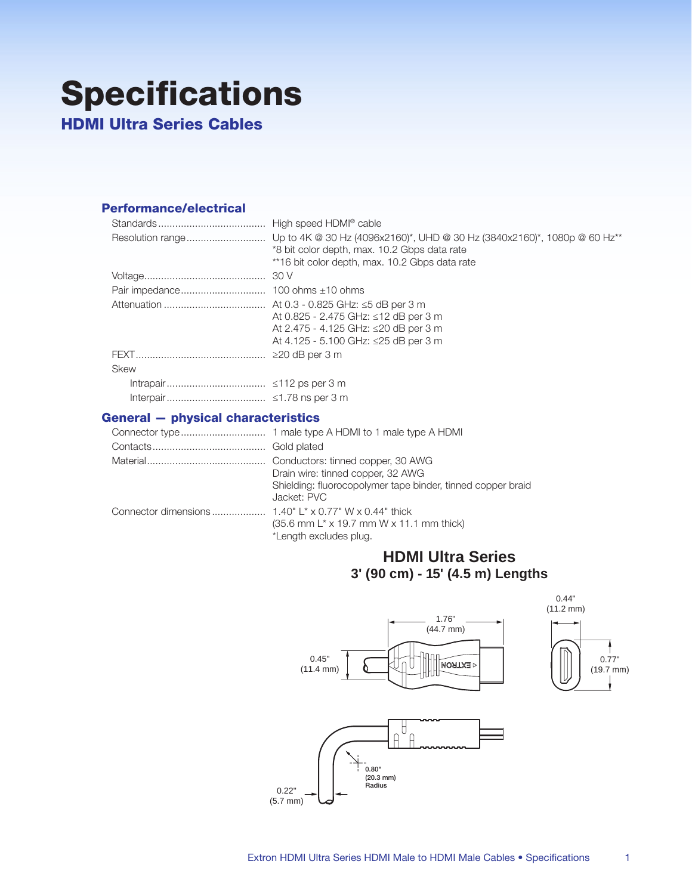## **Specifications HDMI Ultra Series Cables**

## **Performance/electrical**

|             | *8 bit color depth, max. 10.2 Gbps data rate<br>**16 bit color depth, max. 10.2 Gbps data rate                       |
|-------------|----------------------------------------------------------------------------------------------------------------------|
|             |                                                                                                                      |
|             |                                                                                                                      |
|             | At 0.825 - 2.475 GHz: ≤12 dB per 3 m<br>At 2.475 - 4.125 GHz: ≤20 dB per 3 m<br>At 4.125 - 5.100 GHz: ≤25 dB per 3 m |
|             |                                                                                                                      |
| <b>Skew</b> |                                                                                                                      |
|             |                                                                                                                      |
|             |                                                                                                                      |

## **General - physical characteristics**

| Drain wire: tinned copper, 32 AWG                                          |
|----------------------------------------------------------------------------|
| Shielding: fluorocopolymer tape binder, tinned copper braid<br>Jacket: PVC |
|                                                                            |
| $(35.6$ mm L <sup>*</sup> x 19.7 mm W x 11.1 mm thick)                     |
| *Length excludes plug.                                                     |

## **HDMI Ultra Series** 3' (90 cm) - 15' (4.5 m) Lengths